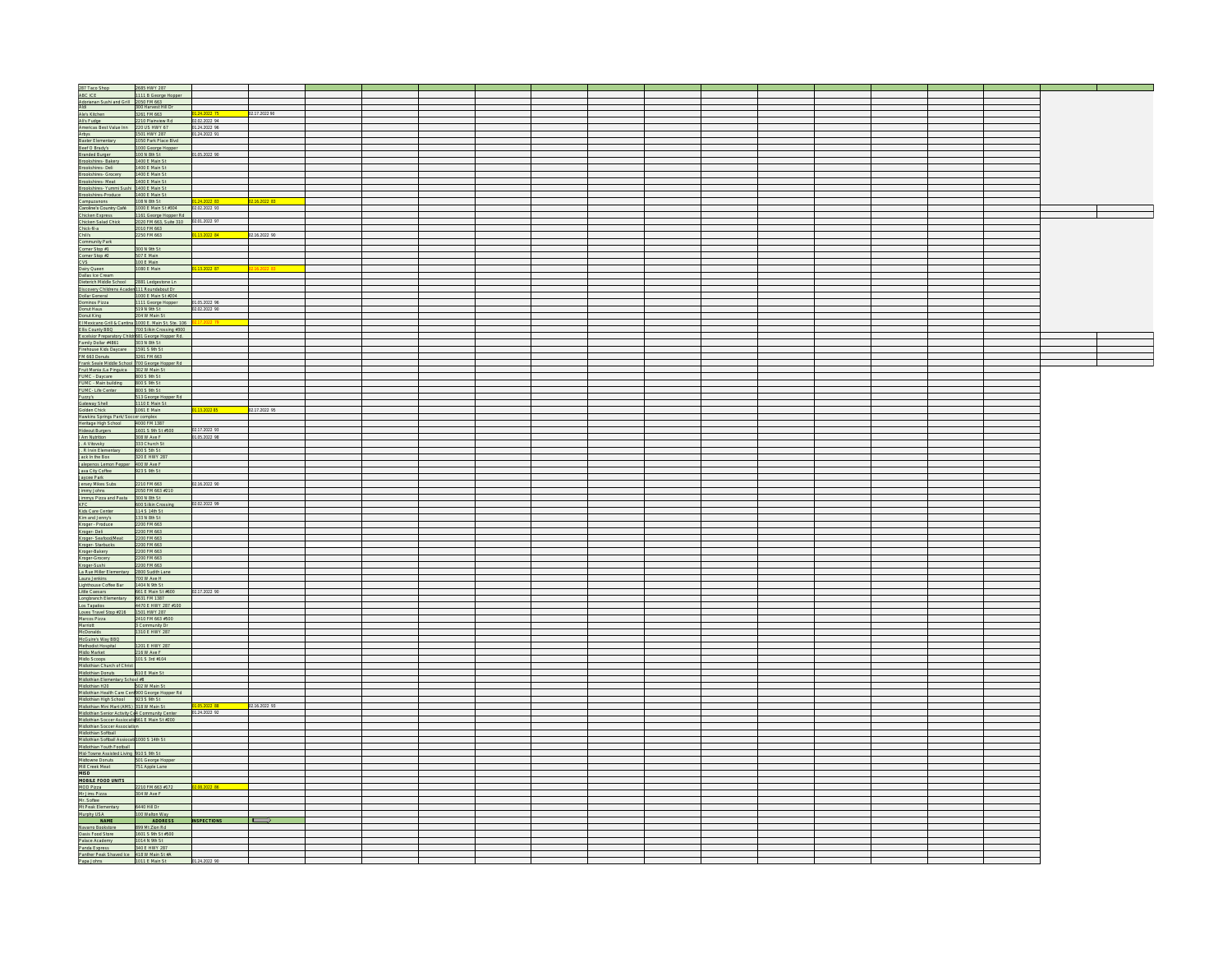| 287 Taco Shop 2685 HWY 287<br>ABC ICE 1111 B George Hopper                                                                                                                                                                                          |                                                                                                                     |                             |               |  |  |  |  |  |  | <u> Tanzania (m. 1878)</u> |  |
|-----------------------------------------------------------------------------------------------------------------------------------------------------------------------------------------------------------------------------------------------------|---------------------------------------------------------------------------------------------------------------------|-----------------------------|---------------|--|--|--|--|--|--|----------------------------|--|
|                                                                                                                                                                                                                                                     |                                                                                                                     |                             |               |  |  |  |  |  |  |                            |  |
|                                                                                                                                                                                                                                                     |                                                                                                                     |                             |               |  |  |  |  |  |  |                            |  |
|                                                                                                                                                                                                                                                     |                                                                                                                     |                             |               |  |  |  |  |  |  |                            |  |
|                                                                                                                                                                                                                                                     |                                                                                                                     |                             | 02.17.2022 90 |  |  |  |  |  |  |                            |  |
|                                                                                                                                                                                                                                                     | 2210 Plainview Rd 02.02.2022 94                                                                                     |                             |               |  |  |  |  |  |  |                            |  |
|                                                                                                                                                                                                                                                     |                                                                                                                     | 01.24.2022 96               |               |  |  |  |  |  |  |                            |  |
|                                                                                                                                                                                                                                                     |                                                                                                                     | 01.24.2022 91               |               |  |  |  |  |  |  |                            |  |
|                                                                                                                                                                                                                                                     |                                                                                                                     |                             |               |  |  |  |  |  |  |                            |  |
|                                                                                                                                                                                                                                                     |                                                                                                                     |                             |               |  |  |  |  |  |  |                            |  |
|                                                                                                                                                                                                                                                     |                                                                                                                     | 01.05.2022 90               |               |  |  |  |  |  |  |                            |  |
|                                                                                                                                                                                                                                                     |                                                                                                                     |                             |               |  |  |  |  |  |  |                            |  |
|                                                                                                                                                                                                                                                     |                                                                                                                     |                             |               |  |  |  |  |  |  |                            |  |
|                                                                                                                                                                                                                                                     |                                                                                                                     |                             |               |  |  |  |  |  |  |                            |  |
|                                                                                                                                                                                                                                                     |                                                                                                                     |                             |               |  |  |  |  |  |  |                            |  |
|                                                                                                                                                                                                                                                     |                                                                                                                     |                             |               |  |  |  |  |  |  |                            |  |
|                                                                                                                                                                                                                                                     |                                                                                                                     |                             |               |  |  |  |  |  |  |                            |  |
|                                                                                                                                                                                                                                                     |                                                                                                                     |                             | 02.16.2022 83 |  |  |  |  |  |  |                            |  |
|                                                                                                                                                                                                                                                     |                                                                                                                     |                             |               |  |  |  |  |  |  |                            |  |
|                                                                                                                                                                                                                                                     |                                                                                                                     |                             |               |  |  |  |  |  |  | $\blacksquare$             |  |
|                                                                                                                                                                                                                                                     |                                                                                                                     |                             |               |  |  |  |  |  |  |                            |  |
|                                                                                                                                                                                                                                                     |                                                                                                                     | 01.13.2022 84 02.16.2022 90 |               |  |  |  |  |  |  |                            |  |
|                                                                                                                                                                                                                                                     |                                                                                                                     |                             |               |  |  |  |  |  |  |                            |  |
|                                                                                                                                                                                                                                                     |                                                                                                                     |                             |               |  |  |  |  |  |  |                            |  |
|                                                                                                                                                                                                                                                     |                                                                                                                     |                             |               |  |  |  |  |  |  |                            |  |
|                                                                                                                                                                                                                                                     |                                                                                                                     |                             |               |  |  |  |  |  |  |                            |  |
|                                                                                                                                                                                                                                                     |                                                                                                                     | 1.13.2022 87                |               |  |  |  |  |  |  |                            |  |
|                                                                                                                                                                                                                                                     |                                                                                                                     |                             | 02.16.2022 83 |  |  |  |  |  |  |                            |  |
|                                                                                                                                                                                                                                                     |                                                                                                                     |                             |               |  |  |  |  |  |  |                            |  |
|                                                                                                                                                                                                                                                     |                                                                                                                     |                             |               |  |  |  |  |  |  |                            |  |
|                                                                                                                                                                                                                                                     |                                                                                                                     |                             |               |  |  |  |  |  |  |                            |  |
| Crist (f. 1819)<br>Communication (f. 1810)<br>Communication (f. 1810)<br>Communication (f. 1810)<br>Communication (f. 1810)<br>Communication (f. 1810)<br>Communication (f. 1810)<br>Communication (f. 1810)<br>Communication (f. 1810)<br>Comm     |                                                                                                                     |                             |               |  |  |  |  |  |  |                            |  |
|                                                                                                                                                                                                                                                     |                                                                                                                     |                             |               |  |  |  |  |  |  |                            |  |
|                                                                                                                                                                                                                                                     |                                                                                                                     |                             |               |  |  |  |  |  |  |                            |  |
|                                                                                                                                                                                                                                                     |                                                                                                                     |                             |               |  |  |  |  |  |  |                            |  |
|                                                                                                                                                                                                                                                     |                                                                                                                     | 2.17.2022 79                |               |  |  |  |  |  |  |                            |  |
| Chinese County BBQ<br>Ellis County BBQ<br>Excelsior Preparatory Children Salis Crossing #300<br>Excelsior Preparatory Children Salis Ceorge Hopper Rd.<br>Firehouse Kids Daycare<br>Firehouse Kids Daycare<br>1591 S 9th St                         |                                                                                                                     |                             |               |  |  |  |  |  |  |                            |  |
|                                                                                                                                                                                                                                                     |                                                                                                                     |                             |               |  |  |  |  |  |  |                            |  |
|                                                                                                                                                                                                                                                     |                                                                                                                     |                             |               |  |  |  |  |  |  |                            |  |
|                                                                                                                                                                                                                                                     |                                                                                                                     |                             |               |  |  |  |  |  |  |                            |  |
| FM 663 Donuts<br>Frank Seale Middle School 700 George Hopper Rd<br>Fruit Mania /La Pinguica 302 W Main St                                                                                                                                           |                                                                                                                     |                             |               |  |  |  |  |  |  |                            |  |
|                                                                                                                                                                                                                                                     |                                                                                                                     |                             |               |  |  |  |  |  |  |                            |  |
|                                                                                                                                                                                                                                                     |                                                                                                                     |                             |               |  |  |  |  |  |  |                            |  |
| Paul Main dia Propaga - 202 M Main Si<br>Paul Main Daddey - 202 S am Si<br>Paul Main Daddey - 202 S am Si<br>Paul Main Daddey - 202 S am Si<br>Catalog - 202 - 202 S am Si<br>Catalog Charles - 202 S (202 S 4 Main Dadder Charles Charles C        |                                                                                                                     |                             |               |  |  |  |  |  |  |                            |  |
|                                                                                                                                                                                                                                                     |                                                                                                                     |                             |               |  |  |  |  |  |  |                            |  |
|                                                                                                                                                                                                                                                     | 513 George Hopper Rd                                                                                                |                             |               |  |  |  |  |  |  |                            |  |
|                                                                                                                                                                                                                                                     |                                                                                                                     |                             |               |  |  |  |  |  |  |                            |  |
|                                                                                                                                                                                                                                                     |                                                                                                                     | 01.13.2022.85               | 02.17.2022 95 |  |  |  |  |  |  |                            |  |
|                                                                                                                                                                                                                                                     |                                                                                                                     |                             |               |  |  |  |  |  |  |                            |  |
|                                                                                                                                                                                                                                                     |                                                                                                                     |                             |               |  |  |  |  |  |  |                            |  |
|                                                                                                                                                                                                                                                     | 1601 S 9th St #500 02.17.2022 93                                                                                    |                             |               |  |  |  |  |  |  |                            |  |
| Am Nutrition                                                                                                                                                                                                                                        | 308 W Ave F                                                                                                         | 01.05.2022 98               |               |  |  |  |  |  |  |                            |  |
| J. A Vitovsky                                                                                                                                                                                                                                       | 333 Church St                                                                                                       |                             |               |  |  |  |  |  |  |                            |  |
| J. R Irvin Elementary 600 S 5th St                                                                                                                                                                                                                  |                                                                                                                     |                             |               |  |  |  |  |  |  |                            |  |
|                                                                                                                                                                                                                                                     |                                                                                                                     |                             |               |  |  |  |  |  |  |                            |  |
|                                                                                                                                                                                                                                                     |                                                                                                                     |                             |               |  |  |  |  |  |  |                            |  |
|                                                                                                                                                                                                                                                     |                                                                                                                     |                             |               |  |  |  |  |  |  |                            |  |
|                                                                                                                                                                                                                                                     |                                                                                                                     |                             |               |  |  |  |  |  |  |                            |  |
|                                                                                                                                                                                                                                                     |                                                                                                                     | 02.16.2022 90               |               |  |  |  |  |  |  |                            |  |
|                                                                                                                                                                                                                                                     |                                                                                                                     |                             |               |  |  |  |  |  |  |                            |  |
|                                                                                                                                                                                                                                                     |                                                                                                                     |                             |               |  |  |  |  |  |  |                            |  |
|                                                                                                                                                                                                                                                     | 600 Silkin Crossing 02.02.2022 99                                                                                   |                             |               |  |  |  |  |  |  |                            |  |
|                                                                                                                                                                                                                                                     |                                                                                                                     |                             |               |  |  |  |  |  |  |                            |  |
|                                                                                                                                                                                                                                                     |                                                                                                                     |                             |               |  |  |  |  |  |  |                            |  |
|                                                                                                                                                                                                                                                     |                                                                                                                     |                             |               |  |  |  |  |  |  |                            |  |
|                                                                                                                                                                                                                                                     |                                                                                                                     |                             |               |  |  |  |  |  |  |                            |  |
|                                                                                                                                                                                                                                                     |                                                                                                                     |                             |               |  |  |  |  |  |  |                            |  |
|                                                                                                                                                                                                                                                     |                                                                                                                     |                             |               |  |  |  |  |  |  |                            |  |
|                                                                                                                                                                                                                                                     |                                                                                                                     |                             |               |  |  |  |  |  |  |                            |  |
|                                                                                                                                                                                                                                                     |                                                                                                                     |                             |               |  |  |  |  |  |  |                            |  |
|                                                                                                                                                                                                                                                     |                                                                                                                     |                             |               |  |  |  |  |  |  |                            |  |
|                                                                                                                                                                                                                                                     |                                                                                                                     |                             |               |  |  |  |  |  |  |                            |  |
|                                                                                                                                                                                                                                                     |                                                                                                                     |                             |               |  |  |  |  |  |  |                            |  |
|                                                                                                                                                                                                                                                     |                                                                                                                     |                             |               |  |  |  |  |  |  |                            |  |
|                                                                                                                                                                                                                                                     |                                                                                                                     | 02.17.2022 90               |               |  |  |  |  |  |  |                            |  |
|                                                                                                                                                                                                                                                     |                                                                                                                     |                             |               |  |  |  |  |  |  |                            |  |
|                                                                                                                                                                                                                                                     |                                                                                                                     |                             |               |  |  |  |  |  |  |                            |  |
|                                                                                                                                                                                                                                                     |                                                                                                                     |                             |               |  |  |  |  |  |  |                            |  |
|                                                                                                                                                                                                                                                     |                                                                                                                     |                             |               |  |  |  |  |  |  |                            |  |
|                                                                                                                                                                                                                                                     |                                                                                                                     |                             |               |  |  |  |  |  |  |                            |  |
|                                                                                                                                                                                                                                                     |                                                                                                                     |                             |               |  |  |  |  |  |  |                            |  |
|                                                                                                                                                                                                                                                     |                                                                                                                     |                             |               |  |  |  |  |  |  |                            |  |
| McDonalds 1310 E HWY 287<br>McGuire's Way BBQ<br>Methodist Hospital 1201 E HWY 287<br>Midlo Market 216 W Ave F                                                                                                                                      |                                                                                                                     |                             |               |  |  |  |  |  |  |                            |  |
|                                                                                                                                                                                                                                                     |                                                                                                                     |                             |               |  |  |  |  |  |  |                            |  |
| Midlo Scoops<br>Midlothian Church of Christ<br>Midlothian Donuts 610 E Main St                                                                                                                                                                      |                                                                                                                     |                             |               |  |  |  |  |  |  |                            |  |
|                                                                                                                                                                                                                                                     |                                                                                                                     |                             |               |  |  |  |  |  |  |                            |  |
| Materian Discounter Material Bank<br>Materian H2O<br>Materian H2O (2002 Material Bank State Control Bank<br>Materian Hagh School (2012 State State Happer Rd<br>Materian Mari Material Discounter Materian Discounter Materian State<br>Mater       |                                                                                                                     |                             |               |  |  |  |  |  |  |                            |  |
|                                                                                                                                                                                                                                                     |                                                                                                                     |                             |               |  |  |  |  |  |  |                            |  |
|                                                                                                                                                                                                                                                     |                                                                                                                     |                             |               |  |  |  |  |  |  |                            |  |
|                                                                                                                                                                                                                                                     |                                                                                                                     |                             |               |  |  |  |  |  |  |                            |  |
|                                                                                                                                                                                                                                                     |                                                                                                                     |                             | 02.16.2022 93 |  |  |  |  |  |  |                            |  |
|                                                                                                                                                                                                                                                     |                                                                                                                     |                             |               |  |  |  |  |  |  |                            |  |
| Midlothian Soccer Assiocatio661 E Main St #200                                                                                                                                                                                                      |                                                                                                                     |                             |               |  |  |  |  |  |  |                            |  |
|                                                                                                                                                                                                                                                     |                                                                                                                     |                             |               |  |  |  |  |  |  |                            |  |
|                                                                                                                                                                                                                                                     |                                                                                                                     |                             |               |  |  |  |  |  |  |                            |  |
|                                                                                                                                                                                                                                                     |                                                                                                                     |                             |               |  |  |  |  |  |  |                            |  |
|                                                                                                                                                                                                                                                     |                                                                                                                     |                             |               |  |  |  |  |  |  |                            |  |
|                                                                                                                                                                                                                                                     |                                                                                                                     |                             |               |  |  |  |  |  |  |                            |  |
| Middlithan Societ Association<br>Middlithan Soften Association<br>Middlithan Soften Association<br>Middlithan Softhall Assiocals<br>Middlithan Youth Football<br>Middlithan Youth Football<br>Middlithane Domuls<br>Middlithan Softhan State SS1 Ap |                                                                                                                     |                             |               |  |  |  |  |  |  |                            |  |
|                                                                                                                                                                                                                                                     |                                                                                                                     |                             |               |  |  |  |  |  |  |                            |  |
|                                                                                                                                                                                                                                                     |                                                                                                                     |                             |               |  |  |  |  |  |  |                            |  |
| MISD<br>MOBILE FOOD UNITS<br>MOD Pizza (2000) 2210 FM 663 #172 2208 2022 86                                                                                                                                                                         |                                                                                                                     |                             |               |  |  |  |  |  |  |                            |  |
|                                                                                                                                                                                                                                                     |                                                                                                                     |                             |               |  |  |  |  |  |  |                            |  |
|                                                                                                                                                                                                                                                     |                                                                                                                     |                             |               |  |  |  |  |  |  |                            |  |
|                                                                                                                                                                                                                                                     |                                                                                                                     |                             |               |  |  |  |  |  |  |                            |  |
|                                                                                                                                                                                                                                                     |                                                                                                                     |                             |               |  |  |  |  |  |  |                            |  |
|                                                                                                                                                                                                                                                     |                                                                                                                     |                             |               |  |  |  |  |  |  |                            |  |
|                                                                                                                                                                                                                                                     |                                                                                                                     |                             |               |  |  |  |  |  |  |                            |  |
|                                                                                                                                                                                                                                                     |                                                                                                                     |                             |               |  |  |  |  |  |  |                            |  |
|                                                                                                                                                                                                                                                     |                                                                                                                     |                             |               |  |  |  |  |  |  |                            |  |
|                                                                                                                                                                                                                                                     |                                                                                                                     |                             |               |  |  |  |  |  |  |                            |  |
|                                                                                                                                                                                                                                                     |                                                                                                                     |                             |               |  |  |  |  |  |  |                            |  |
|                                                                                                                                                                                                                                                     | Panda Express 340 E HWY 287<br>Paniher Peak Shaved Ice 418 W Main St #A<br>Papa Johns 1011 E Main St 101.24.2022 90 |                             |               |  |  |  |  |  |  |                            |  |